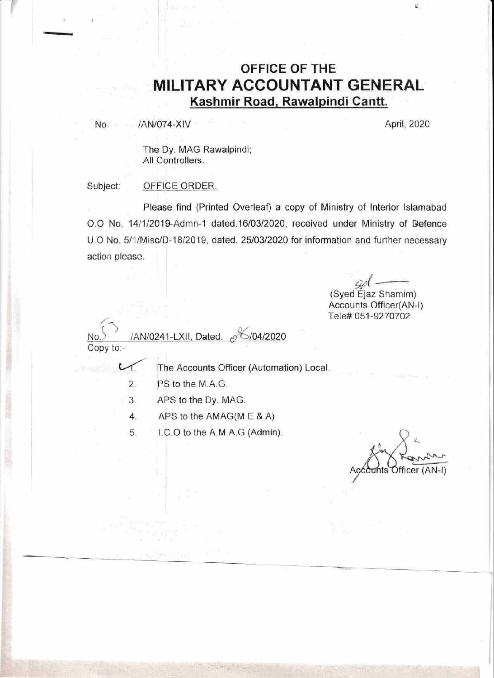## OFFICE OF THE MILITARY ACCOUNTANT GENERAL Kashmir Road, Rawalpindi Cantt.

/AN/074-XIV No.

April, 2020

Ù.

The Dy. MAG Rawalpindi; All Controllers.

Subject: OFFICE ORDER.

Please find (Printed Overleaf) a copy of Ministry of Interior Islamabad O.O No. 14/1/2019-Admn-1 dated.16/03/2020, received under Ministry of Defence U.O No. 5/1/Misc/D-18/2019, dated. 25/03/2020 for information and further necessary action please.

(Syed Ejaz Shamim) Accounts Officer(AN-I) Tele# 051-9270702

/AN/0241-LXII, Dated.  $6/04/2020$ Copy to:-

The Accounts Officer (Automation) Local.

 $2.$ PS to the M.A.G.

 $\cup$ 

- $3.$ APS to the Dy. MAG.
- APS to the AMAG(M E & A)  $4.$
- 5 I.C.O to the A.M.A.G (Admin).

Officer (AN-I)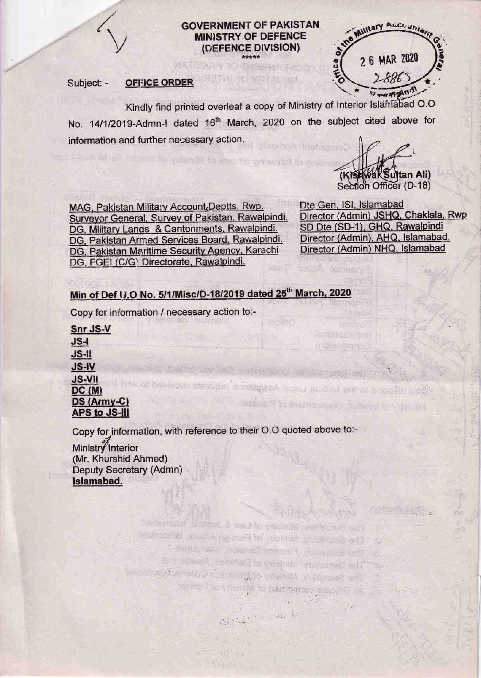

#### **GOVERNMENT OF PAKISTAN MINISTRY OF DEFENCE** (DEFENCE DIVISION)

当朝杨海中2300

KINSTRING

#### Subject: -OFFICE ORDER

2 6 MAR 2020

Kindly find printed overleaf a copy of Ministry of Interior Islamabad O.O. No. 14/1/2019-Admn-I dated 16<sup>th</sup> March, 2020 on the subject cited above for information and further necessary action.

thin soluintly Inverse fits paintsfiel to priest

MAG, Pakistan Military Account, Deptts, Rwp. Surveyor General, Survey of Pakistan, Rawalpindi. DG, Military Lands & Cantonments, Rawalpindi. DG, Pakistan Armed Services Board, Rawalpindi. DG, Pakistan Maritime Security Agency, Karachi DG, FGEI (C/G) Directorate, Rawalpindi.

Dte Gen, ISI, Islamabad Director (Admin) JSHQ, Chaklala, Rwp SD Dte (SD-1), GHQ, Rawalpindi Director (Admin), AHQ, Islamabad. Director (Admin) NHQ, Islamabad

Section Officer (D-18)

(Kish

ical notice

**Kato that is dirt** 

(notle étac)

naish Shamara swie julietni in special

**wak Sultan Ali)** 

### Min of Def U.O No. 5/1/Misc/D-18/2019 dated 25th March, 2020

Copy for information / necessary action to:-

Snr JS-V  $JS-I$ JS-II **JS-IV JS-VII** il bes of bavisoni stepper consigled firms longed as scoolin brow  $DC(M)$ DS (Army-C) APS to JS-III

Copy for information, with reference to their O.O quoted above to:-

Straight Microstry of Law & unshould himme the Southeau, whelele of Fore environme, to familiar

The Secretary Michigan o's process of a material state

the Barantin, Finance Division, Asnyther 2 the Sewa All and the visible visible and

minuted to your entity for the sensor miscall O like

Ministry Interior (Mr. Khurshid Ahmed) Deputy Secretary (Admn) Islamabad.